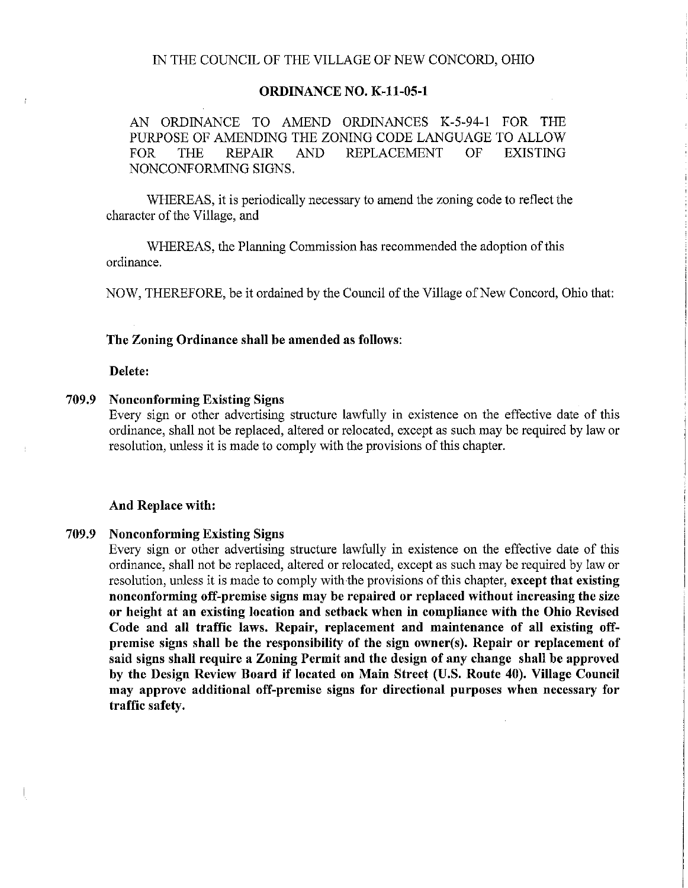# ORDINANCE NO. K-11-05-1

AN ORDINANCE TO AMEND ORDINANCES K-5-94-1 FOR THE PURPOSE OF AMENDING THE ZONING CODE LANGUAGE TO ALLOW FOR THE REPAIR AND REPLACEMENT OF EXISTING NONCONFORMING SIGNS.

WHEREAS, it is periodically necessary to amend the zoning code to reflect the character of the Village, and

WHEREAS, the Planning Commission has recommended the adoption of this ordinance.

NOW, THEREFORE, be it ordained by the Council of the Village of New Concord, Ohio that:

#### The Zoning Ordinance shall be amended as follows:

# Delete:

# 709.9 Nonconforming Existing Signs

Every sign or other advertising structure lawfully in existence on the effective date of this ordinance, shall not be replaced, altered or relocated, except as such may be required by law or resolution, unless it is made to comply with the provisions of this chapter.

## And Replace with:

## 709.9 Nonconforming Existing Signs

Every sign or other advertising structure lawfully in existence on the effective date of this ordinance, shall not be replaced, altered or relocated, except as such may be required by law or resolution, unless it is made to comply with the provisions of this chapter, except that existing nonconforming off-premise signs may be repaired or replaced without increasing the size or height at an existing location and setback when in compliance with the Ohio Revised Code and all traffic laws. Repair, replacement and maintenance of all existing offpremise signs shall be the responsibility of the sign owner(s). Repair or replacement of said signs shall require a Zoning Permit and the design of any change shall be approved by the Design Review Board if located on Main Street (U.S. Route 40). Village Council may approve additional off-premise signs for directional purposes when necessary for traffic safety.